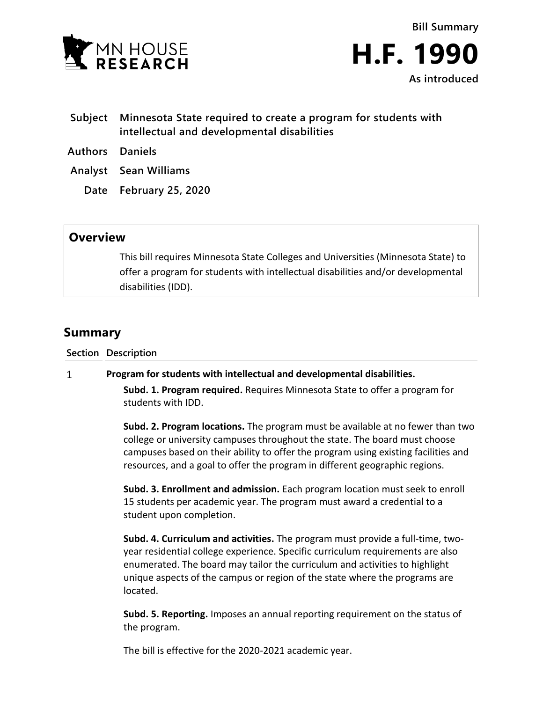



- **Subject Minnesota State required to create a program for students with intellectual and developmental disabilities**
- **Authors Daniels**
- **Analyst Sean Williams**
	- **Date February 25, 2020**

## **Overview**

This bill requires Minnesota State Colleges and Universities (Minnesota State) to offer a program for students with intellectual disabilities and/or developmental disabilities (IDD).

## **Summary**

**Section Description**

## $\mathbf{1}$ **Program for students with intellectual and developmental disabilities.**

**Subd. 1. Program required.** Requires Minnesota State to offer a program for students with IDD.

**Subd. 2. Program locations.** The program must be available at no fewer than two college or university campuses throughout the state. The board must choose campuses based on their ability to offer the program using existing facilities and resources, and a goal to offer the program in different geographic regions.

**Subd. 3. Enrollment and admission.** Each program location must seek to enroll 15 students per academic year. The program must award a credential to a student upon completion.

**Subd. 4. Curriculum and activities.** The program must provide a full-time, twoyear residential college experience. Specific curriculum requirements are also enumerated. The board may tailor the curriculum and activities to highlight unique aspects of the campus or region of the state where the programs are located.

**Subd. 5. Reporting.** Imposes an annual reporting requirement on the status of the program.

The bill is effective for the 2020-2021 academic year.